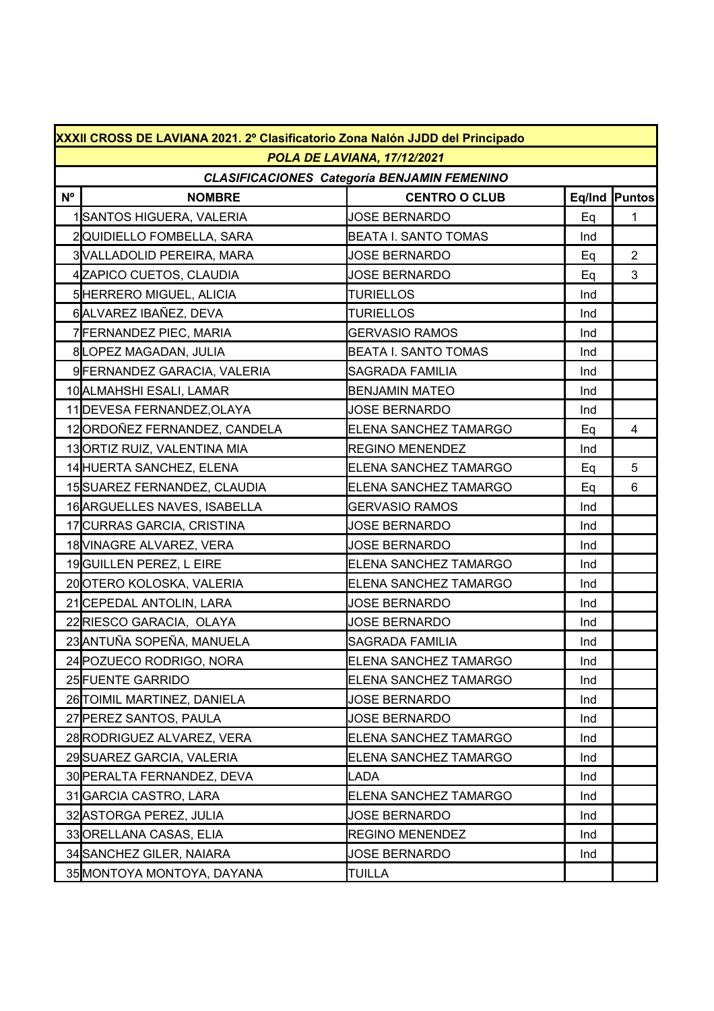|             | XXXII CROSS DE LAVIANA 2021. 2º Clasificatorio Zona Nalón JJDD del Principado |                              |     |                |  |  |  |  |
|-------------|-------------------------------------------------------------------------------|------------------------------|-----|----------------|--|--|--|--|
|             | POLA DE LAVIANA, 17/12/2021                                                   |                              |     |                |  |  |  |  |
|             | <b>CLASIFICACIONES Categoría BENJAMIN FEMENINO</b>                            |                              |     |                |  |  |  |  |
| $N^{\circ}$ | <b>NOMBRE</b>                                                                 | <b>CENTRO O CLUB</b>         |     | Eq/Ind Puntos  |  |  |  |  |
|             | 1SANTOS HIGUERA, VALERIA                                                      | <b>JOSE BERNARDO</b>         | Eq  | 1              |  |  |  |  |
|             | 2QUIDIELLO FOMBELLA, SARA                                                     | <b>BEATA I. SANTO TOMAS</b>  | Ind |                |  |  |  |  |
|             | 3 VALLADOLID PEREIRA, MARA                                                    | <b>JOSE BERNARDO</b>         | Eq  | $\overline{2}$ |  |  |  |  |
|             | 4 ZAPICO CUETOS, CLAUDIA                                                      | <b>JOSE BERNARDO</b>         | Eq  | 3              |  |  |  |  |
|             | 5 HERRERO MIGUEL, ALICIA                                                      | <b>TURIELLOS</b>             | Ind |                |  |  |  |  |
|             | 6ALVAREZ IBAÑEZ, DEVA                                                         | <b>TURIELLOS</b>             | Ind |                |  |  |  |  |
|             | 7 FERNANDEZ PIEC, MARIA                                                       | <b>GERVASIO RAMOS</b>        | Ind |                |  |  |  |  |
|             | 8LOPEZ MAGADAN, JULIA                                                         | BEATA I. SANTO TOMAS         | Ind |                |  |  |  |  |
|             | 9 FERNANDEZ GARACIA, VALERIA                                                  | <b>SAGRADA FAMILIA</b>       | Ind |                |  |  |  |  |
|             | 10 ALMAHSHI ESALI, LAMAR                                                      | <b>BENJAMIN MATEO</b>        | Ind |                |  |  |  |  |
|             | 11 DEVESA FERNANDEZ, OLAYA                                                    | <b>JOSE BERNARDO</b>         | Ind |                |  |  |  |  |
|             | 12ORDOÑEZ FERNANDEZ, CANDELA                                                  | ELENA SANCHEZ TAMARGO        | Eq  | 4              |  |  |  |  |
|             | 13ORTIZ RUIZ, VALENTINA MIA                                                   | <b>REGINO MENENDEZ</b>       | Ind |                |  |  |  |  |
|             | 14 HUERTA SANCHEZ, ELENA                                                      | ELENA SANCHEZ TAMARGO        | Eq  | 5              |  |  |  |  |
|             | 15 SUAREZ FERNANDEZ, CLAUDIA                                                  | ELENA SANCHEZ TAMARGO        | Eq  | 6              |  |  |  |  |
|             | 16 ARGUELLES NAVES, ISABELLA                                                  | <b>GERVASIO RAMOS</b>        | Ind |                |  |  |  |  |
|             | 17 CURRAS GARCIA, CRISTINA                                                    | <b>JOSE BERNARDO</b>         | Ind |                |  |  |  |  |
|             | 18 VINAGRE ALVAREZ, VERA                                                      | <b>JOSE BERNARDO</b>         | Ind |                |  |  |  |  |
|             | 19 GUILLEN PEREZ, L EIRE                                                      | ELENA SANCHEZ TAMARGO        | Ind |                |  |  |  |  |
|             | 20 OTERO KOLOSKA, VALERIA                                                     | <b>ELENA SANCHEZ TAMARGO</b> | Ind |                |  |  |  |  |
|             | 21 CEPEDAL ANTOLIN, LARA                                                      | <b>JOSE BERNARDO</b>         | Ind |                |  |  |  |  |
|             | 22RIESCO GARACIA, OLAYA                                                       | <b>JOSE BERNARDO</b>         | Ind |                |  |  |  |  |
|             | 23 ANTUÑA SOPEÑA, MANUELA                                                     | <b>SAGRADA FAMILIA</b>       | Ind |                |  |  |  |  |
|             | 24 POZUECO RODRIGO, NORA                                                      | <b>ELENA SANCHEZ TAMARGO</b> | Ind |                |  |  |  |  |
|             | 25 FUENTE GARRIDO                                                             | <b>ELENA SANCHEZ TAMARGO</b> | Ind |                |  |  |  |  |
|             | 26 TOIMIL MARTINEZ, DANIELA                                                   | <b>JOSE BERNARDO</b>         | Ind |                |  |  |  |  |
|             | 27 PEREZ SANTOS, PAULA                                                        | <b>JOSE BERNARDO</b>         | Ind |                |  |  |  |  |
|             | 28 RODRIGUEZ ALVAREZ, VERA                                                    | <b>ELENA SANCHEZ TAMARGO</b> | Ind |                |  |  |  |  |
|             | 29 SUAREZ GARCIA, VALERIA                                                     | ELENA SANCHEZ TAMARGO        | Ind |                |  |  |  |  |
|             | 30 PERALTA FERNANDEZ, DEVA                                                    | LADA                         | Ind |                |  |  |  |  |
|             | 31 GARCIA CASTRO, LARA                                                        | ELENA SANCHEZ TAMARGO        | Ind |                |  |  |  |  |
|             | 32 ASTORGA PEREZ, JULIA                                                       | <b>JOSE BERNARDO</b>         | Ind |                |  |  |  |  |
|             | 33 ORELLANA CASAS, ELIA                                                       | <b>REGINO MENENDEZ</b>       | Ind |                |  |  |  |  |
|             | 34 SANCHEZ GILER, NAIARA                                                      | <b>JOSE BERNARDO</b>         | Ind |                |  |  |  |  |
|             | 35 MONTOYA MONTOYA, DAYANA                                                    | <b>TUILLA</b>                |     |                |  |  |  |  |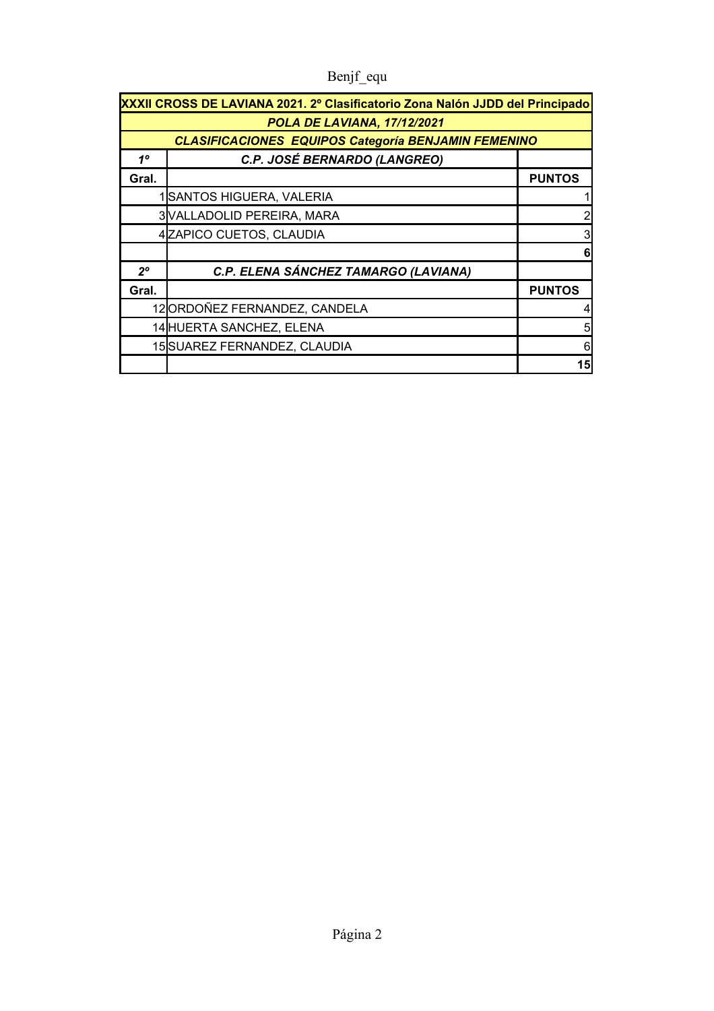| XXXII CROSS DE LAVIANA 2021. 2º Clasificatorio Zona Nalón JJDD del Principado |                                                                                                                                                                                                                 |  |  |  |  |
|-------------------------------------------------------------------------------|-----------------------------------------------------------------------------------------------------------------------------------------------------------------------------------------------------------------|--|--|--|--|
| POLA DE LAVIANA, 17/12/2021                                                   |                                                                                                                                                                                                                 |  |  |  |  |
|                                                                               |                                                                                                                                                                                                                 |  |  |  |  |
| C.P. JOSÉ BERNARDO (LANGREO)                                                  |                                                                                                                                                                                                                 |  |  |  |  |
|                                                                               | <b>PUNTOS</b>                                                                                                                                                                                                   |  |  |  |  |
|                                                                               |                                                                                                                                                                                                                 |  |  |  |  |
|                                                                               |                                                                                                                                                                                                                 |  |  |  |  |
| 4 ZAPICO CUETOS, CLAUDIA                                                      |                                                                                                                                                                                                                 |  |  |  |  |
|                                                                               |                                                                                                                                                                                                                 |  |  |  |  |
| C.P. ELENA SÁNCHEZ TAMARGO (LAVIANA)                                          |                                                                                                                                                                                                                 |  |  |  |  |
|                                                                               | <b>PUNTOS</b>                                                                                                                                                                                                   |  |  |  |  |
|                                                                               |                                                                                                                                                                                                                 |  |  |  |  |
|                                                                               | 5                                                                                                                                                                                                               |  |  |  |  |
|                                                                               | 6                                                                                                                                                                                                               |  |  |  |  |
|                                                                               | 15                                                                                                                                                                                                              |  |  |  |  |
|                                                                               | <b>CLASIFICACIONES EQUIPOS Categoría BENJAMIN FEMENINO</b><br>SANTOS HIGUERA, VALERIA<br>3 VALLADOLID PEREIRA, MARA<br>12ORDOÑEZ FERNANDEZ, CANDELA<br>14 HUERTA SANCHEZ, ELENA<br>15 SUAREZ FERNANDEZ, CLAUDIA |  |  |  |  |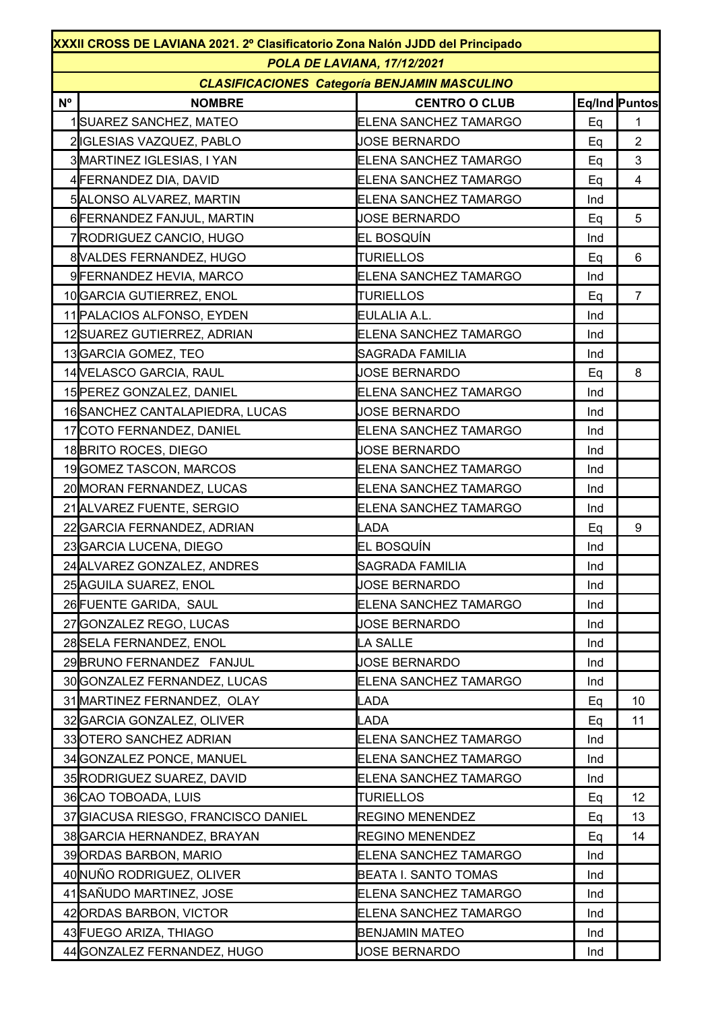|             | XXXII CROSS DE LAVIANA 2021. 2º Clasificatorio Zona Nalón JJDD del Principado |                              |     |                |  |  |  |
|-------------|-------------------------------------------------------------------------------|------------------------------|-----|----------------|--|--|--|
|             | POLA DE LAVIANA, 17/12/2021                                                   |                              |     |                |  |  |  |
|             | <b>CLASIFICACIONES Categoría BENJAMIN MASCULINO</b>                           |                              |     |                |  |  |  |
| $N^{\circ}$ | <b>NOMBRE</b>                                                                 | <b>CENTRO O CLUB</b>         |     | Eq/Ind Puntos  |  |  |  |
|             | 1 SUAREZ SANCHEZ, MATEO                                                       | ELENA SANCHEZ TAMARGO        | Eq  | $\mathbf{1}$   |  |  |  |
|             | 2 IGLESIAS VAZQUEZ, PABLO                                                     | <b>JOSE BERNARDO</b>         | Eq  | $\overline{2}$ |  |  |  |
|             | 3 MARTINEZ IGLESIAS, I YAN                                                    | ELENA SANCHEZ TAMARGO        | Eq  | 3              |  |  |  |
|             | 4 FERNANDEZ DIA, DAVID                                                        | ELENA SANCHEZ TAMARGO        | Eq  | $\overline{4}$ |  |  |  |
|             | 5 ALONSO ALVAREZ, MARTIN                                                      | ELENA SANCHEZ TAMARGO        | Ind |                |  |  |  |
|             | 6 FERNANDEZ FANJUL, MARTIN                                                    | <b>JOSE BERNARDO</b>         | Eq  | 5              |  |  |  |
|             | 7RODRIGUEZ CANCIO, HUGO                                                       | EL BOSQUÍN                   | Ind |                |  |  |  |
|             | 8 VALDES FERNANDEZ, HUGO                                                      | <b>TURIELLOS</b>             | Eq  | 6              |  |  |  |
|             | 9 FERNANDEZ HEVIA, MARCO                                                      | ELENA SANCHEZ TAMARGO        | Ind |                |  |  |  |
|             | 10 GARCIA GUTIERREZ, ENOL                                                     | <b>TURIELLOS</b>             | Eq  | $\overline{7}$ |  |  |  |
|             | 11 PALACIOS ALFONSO, EYDEN                                                    | EULALIA A.L.                 | Ind |                |  |  |  |
|             | 12SUAREZ GUTIERREZ, ADRIAN                                                    | ELENA SANCHEZ TAMARGO        | Ind |                |  |  |  |
|             | 13 GARCIA GOMEZ, TEO                                                          | SAGRADA FAMILIA              | Ind |                |  |  |  |
|             | 14 VELASCO GARCIA, RAUL                                                       | <b>JOSE BERNARDO</b>         | Eq  | 8              |  |  |  |
|             | 15 PEREZ GONZALEZ, DANIEL                                                     | ELENA SANCHEZ TAMARGO        | Ind |                |  |  |  |
|             | 16 SANCHEZ CANTALAPIEDRA, LUCAS                                               | <b>JOSE BERNARDO</b>         | Ind |                |  |  |  |
|             | 17 COTO FERNANDEZ, DANIEL                                                     | ELENA SANCHEZ TAMARGO        | Ind |                |  |  |  |
|             | 18 BRITO ROCES, DIEGO                                                         | <b>JOSE BERNARDO</b>         | Ind |                |  |  |  |
|             | 19 GOMEZ TASCON, MARCOS                                                       | ELENA SANCHEZ TAMARGO        | Ind |                |  |  |  |
|             | 20 MORAN FERNANDEZ, LUCAS                                                     | ELENA SANCHEZ TAMARGO        | Ind |                |  |  |  |
|             | 21 ALVAREZ FUENTE, SERGIO                                                     | ELENA SANCHEZ TAMARGO        | Ind |                |  |  |  |
|             | 22 GARCIA FERNANDEZ, ADRIAN                                                   | LADA                         | Eq  | 9              |  |  |  |
|             | 23 GARCIA LUCENA, DIEGO                                                       | EL BOSQUÍN                   | Ind |                |  |  |  |
|             | 24 ALVAREZ GONZALEZ, ANDRES                                                   | <b>SAGRADA FAMILIA</b>       | Ind |                |  |  |  |
|             | 25 AGUILA SUAREZ, ENOL                                                        | <b>JOSE BERNARDO</b>         | Ind |                |  |  |  |
|             | 26 FUENTE GARIDA, SAUL                                                        | ELENA SANCHEZ TAMARGO        | Ind |                |  |  |  |
|             | 27 GONZALEZ REGO, LUCAS                                                       | <b>JOSE BERNARDO</b>         | Ind |                |  |  |  |
|             | 28 SELA FERNANDEZ, ENOL                                                       | LA SALLE                     | Ind |                |  |  |  |
|             | 29 BRUNO FERNANDEZ FANJUL                                                     | <b>JOSE BERNARDO</b>         | Ind |                |  |  |  |
|             | 30 GONZALEZ FERNANDEZ, LUCAS                                                  | ELENA SANCHEZ TAMARGO        | Ind |                |  |  |  |
|             | 31 MARTINEZ FERNANDEZ, OLAY                                                   | LADA                         | Eq  | 10             |  |  |  |
|             | 32 GARCIA GONZALEZ, OLIVER                                                    | LADA                         | Eq  | 11             |  |  |  |
|             | 33 OTERO SANCHEZ ADRIAN                                                       | ELENA SANCHEZ TAMARGO        | Ind |                |  |  |  |
|             | 34 GONZALEZ PONCE, MANUEL                                                     | ELENA SANCHEZ TAMARGO        | Ind |                |  |  |  |
|             | 35 RODRIGUEZ SUAREZ, DAVID                                                    | ELENA SANCHEZ TAMARGO        | Ind |                |  |  |  |
|             | 36 CAO TOBOADA, LUIS                                                          | <b>TURIELLOS</b>             | Eq  | 12             |  |  |  |
|             | 37 GIACUSA RIESGO, FRANCISCO DANIEL                                           | <b>REGINO MENENDEZ</b>       | Eq  | 13             |  |  |  |
|             | 38 GARCIA HERNANDEZ, BRAYAN                                                   | <b>REGINO MENENDEZ</b>       | Eq  | 14             |  |  |  |
|             | 39 ORDAS BARBON, MARIO                                                        | ELENA SANCHEZ TAMARGO        | Ind |                |  |  |  |
|             | 40 NUÑO RODRIGUEZ, OLIVER                                                     | <b>BEATA I. SANTO TOMAS</b>  | Ind |                |  |  |  |
|             | 41 SAÑUDO MARTINEZ, JOSE                                                      | <b>ELENA SANCHEZ TAMARGO</b> | Ind |                |  |  |  |
|             | 42 ORDAS BARBON, VICTOR                                                       | ELENA SANCHEZ TAMARGO        | Ind |                |  |  |  |
|             | 43 FUEGO ARIZA, THIAGO                                                        | <b>BENJAMIN MATEO</b>        | Ind |                |  |  |  |
|             | 44 GONZALEZ FERNANDEZ, HUGO                                                   | <b>JOSE BERNARDO</b>         | Ind |                |  |  |  |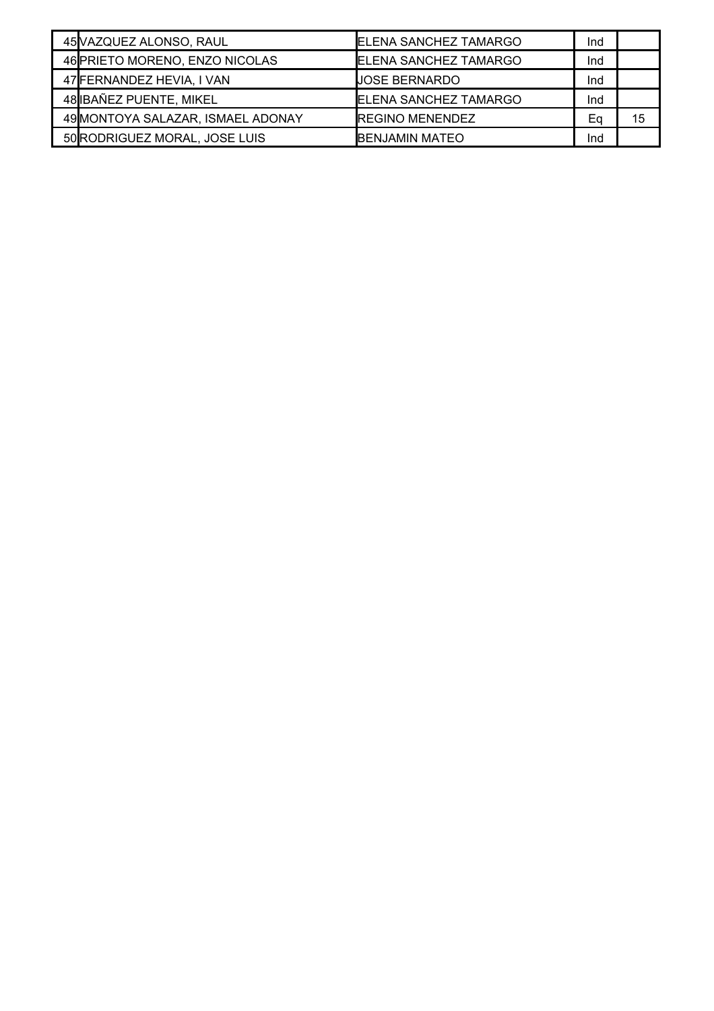| 45 VAZQUEZ ALONSO, RAUL           | <b>ELENA SANCHEZ TAMARGO</b>  | Ind |    |
|-----------------------------------|-------------------------------|-----|----|
| 46 PRIETO MORENO, ENZO NICOLAS    | <b>IELENA SANCHEZ TAMARGO</b> | Ind |    |
| 47 FERNANDEZ HEVIA, I VAN         | JOSE BERNARDO                 | Ind |    |
| 48 IBAÑEZ PUENTE, MIKEL           | <b>IELENA SANCHEZ TAMARGO</b> | Ind |    |
| 49 MONTOYA SALAZAR, ISMAEL ADONAY | <b>IREGINO MENENDEZ</b>       | Εa  | 15 |
| 50 RODRIGUEZ MORAL, JOSE LUIS     | <b>IBENJAMIN MATEO</b>        | Ind |    |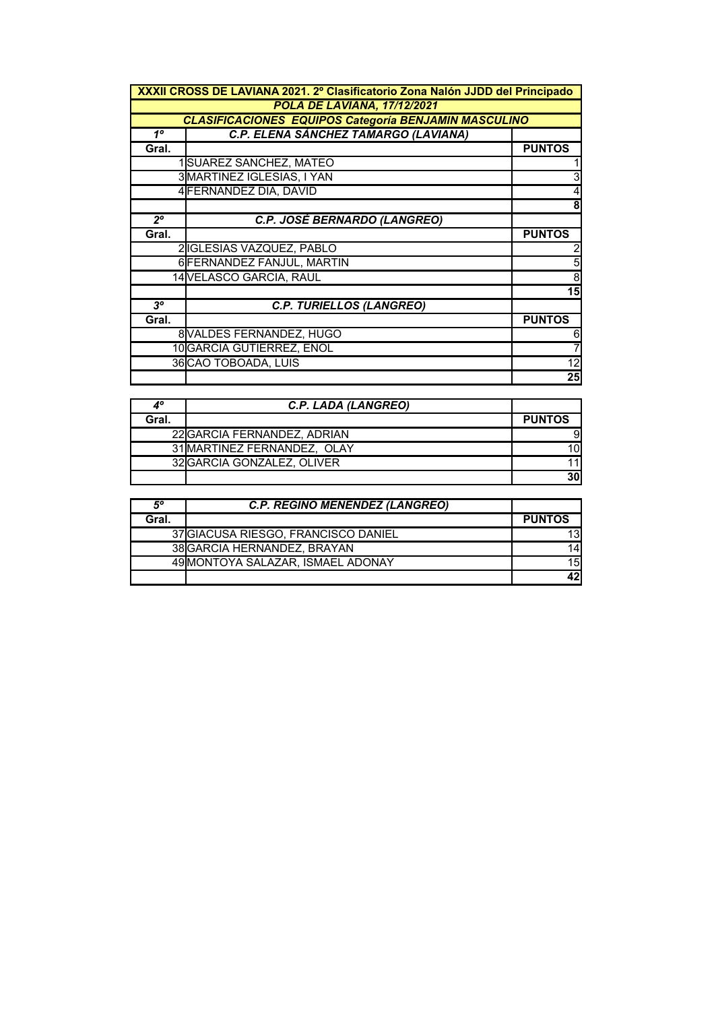|                | XXXII CROSS DE LAVIANA 2021. 2º Clasificatorio Zona Nalón JJDD del Principado |                         |  |  |
|----------------|-------------------------------------------------------------------------------|-------------------------|--|--|
|                | POLA DE LAVIANA, 17/12/2021                                                   |                         |  |  |
|                | <b>CLASIFICACIONES EQUIPOS Categoría BENJAMIN MASCULINO</b>                   |                         |  |  |
| $1^{\circ}$    | C.P. ELENA SÁNCHEZ TAMARGO (LAVIANA)                                          |                         |  |  |
| Gral.          |                                                                               | <b>PUNTOS</b>           |  |  |
|                | 1SUAREZ SANCHEZ, MATEO                                                        |                         |  |  |
|                | 3 MARTINEZ IGLESIAS, I YAN                                                    | دن                      |  |  |
|                | 4 FERNANDEZ DIA, DAVID                                                        | $\overline{\mathbf{r}}$ |  |  |
|                |                                                                               | 8                       |  |  |
| $2^{\circ}$    | <b>C.P. JOSÉ BERNARDO (LANGREO)</b>                                           |                         |  |  |
| Gral.          |                                                                               | <b>PUNTOS</b>           |  |  |
|                | 2IGLESIAS VAZQUEZ, PABLO                                                      | $\overline{c}$          |  |  |
|                | 6 FERNANDEZ FANJUL, MARTIN                                                    | $\overline{5}$          |  |  |
|                | 14 VELASCO GARCIA, RAUL                                                       | $\overline{8}$          |  |  |
|                |                                                                               | 15                      |  |  |
| 3 <sup>o</sup> | <b>C.P. TURIELLOS (LANGREO)</b>                                               |                         |  |  |
| Gral.          |                                                                               | <b>PUNTOS</b>           |  |  |
|                | 8 VALDES FERNANDEZ, HUGO                                                      | $6 \mid$                |  |  |
|                | 10 GARCIA GUTIERREZ, ENOL                                                     | $\overline{7}$          |  |  |
|                | 36 CAO TOBOADA, LUIS                                                          | 12                      |  |  |
|                |                                                                               | $\overline{25}$         |  |  |

|       | C.P. LADA (LANGREO)         |               |
|-------|-----------------------------|---------------|
| Gral. |                             | <b>PUNTOS</b> |
|       | 22 GARCIA FERNANDEZ, ADRIAN | 91            |
|       | 31 MARTINEZ FERNANDEZ, OLAY | 10I           |
|       | 32 GARCIA GONZALEZ, OLIVER  |               |
|       |                             | 30            |

| 5°    | <b>C.P. REGINO MENÉNDEZ (LANGREO)</b> |               |
|-------|---------------------------------------|---------------|
| Gral. |                                       | <b>PUNTOS</b> |
|       | 37 GIACUSA RIESGO, FRANCISCO DANIEL   | 13I           |
|       | 38 GARCIA HERNANDEZ, BRAYAN           | 141           |
|       | 49 MONTOYA SALAZAR. ISMAEL ADONAY     | 15            |
|       |                                       | 42            |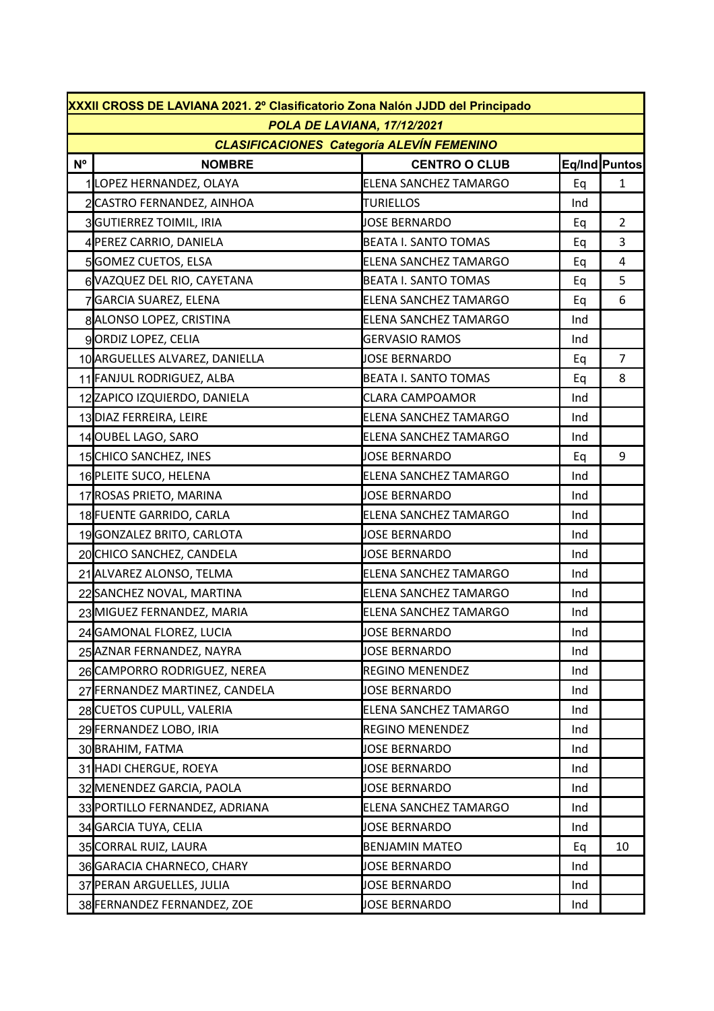|                | XXXII CROSS DE LAVIANA 2021. 2º Clasificatorio Zona Nalón JJDD del Principado |                              |     |                |  |  |  |
|----------------|-------------------------------------------------------------------------------|------------------------------|-----|----------------|--|--|--|
|                | POLA DE LAVIANA, 17/12/2021                                                   |                              |     |                |  |  |  |
|                | <b>CLASIFICACIONES Categoría ALEVÍN FEMENINO</b>                              |                              |     |                |  |  |  |
| N <sup>o</sup> | <b>NOMBRE</b>                                                                 | <b>CENTRO O CLUB</b>         |     | Eq/Ind Puntos  |  |  |  |
|                | 1LOPEZ HERNANDEZ, OLAYA                                                       | ELENA SANCHEZ TAMARGO        | Eq  | $\mathbf{1}$   |  |  |  |
|                | 2 CASTRO FERNANDEZ, AINHOA                                                    | <b>TURIELLOS</b>             | Ind |                |  |  |  |
|                | 3GUTIERREZ TOIMIL, IRIA                                                       | JOSE BERNARDO                | Eq  | $\overline{2}$ |  |  |  |
|                | 4 PEREZ CARRIO, DANIELA                                                       | <b>BEATA I. SANTO TOMAS</b>  | Eq  | 3              |  |  |  |
|                | 5GOMEZ CUETOS, ELSA                                                           | <b>ELENA SANCHEZ TAMARGO</b> | Eq  | $\overline{4}$ |  |  |  |
|                | 6 VAZQUEZ DEL RIO, CAYETANA                                                   | <b>BEATA I. SANTO TOMAS</b>  | Eq  | 5              |  |  |  |
|                | 7GARCIA SUAREZ, ELENA                                                         | <b>ELENA SANCHEZ TAMARGO</b> | Eq  | 6              |  |  |  |
|                | 8 ALONSO LOPEZ, CRISTINA                                                      | <b>ELENA SANCHEZ TAMARGO</b> | Ind |                |  |  |  |
|                | 9ORDIZ LOPEZ, CELIA                                                           | <b>GERVASIO RAMOS</b>        | Ind |                |  |  |  |
|                | 10 ARGUELLES ALVAREZ, DANIELLA                                                | <b>JOSE BERNARDO</b>         | Eq  | $\overline{7}$ |  |  |  |
|                | 11 FANJUL RODRIGUEZ, ALBA                                                     | <b>BEATA I. SANTO TOMAS</b>  | Eq  | 8              |  |  |  |
|                | 12ZAPICO IZQUIERDO, DANIELA                                                   | <b>CLARA CAMPOAMOR</b>       | Ind |                |  |  |  |
|                | 13 DIAZ FERREIRA, LEIRE                                                       | <b>ELENA SANCHEZ TAMARGO</b> | Ind |                |  |  |  |
|                | 14OUBEL LAGO, SARO                                                            | <b>ELENA SANCHEZ TAMARGO</b> | Ind |                |  |  |  |
|                | 15 CHICO SANCHEZ, INES                                                        | <b>JOSE BERNARDO</b>         | Eq  | 9              |  |  |  |
|                | 16 PLEITE SUCO, HELENA                                                        | <b>ELENA SANCHEZ TAMARGO</b> | Ind |                |  |  |  |
|                | 17ROSAS PRIETO, MARINA                                                        | <b>JOSE BERNARDO</b>         | Ind |                |  |  |  |
|                | 18 FUENTE GARRIDO, CARLA                                                      | <b>ELENA SANCHEZ TAMARGO</b> | Ind |                |  |  |  |
|                | 19GONZALEZ BRITO, CARLOTA                                                     | <b>JOSE BERNARDO</b>         | Ind |                |  |  |  |
|                | 20 CHICO SANCHEZ, CANDELA                                                     | <b>JOSE BERNARDO</b>         | Ind |                |  |  |  |
|                | 21 ALVAREZ ALONSO, TELMA                                                      | <b>ELENA SANCHEZ TAMARGO</b> | Ind |                |  |  |  |
|                | 22 SANCHEZ NOVAL, MARTINA                                                     | ELENA SANCHEZ TAMARGO        | Ind |                |  |  |  |
|                | 23 MIGUEZ FERNANDEZ, MARIA                                                    | <b>ELENA SANCHEZ TAMARGO</b> | Ind |                |  |  |  |
|                | 24 GAMONAL FLOREZ, LUCIA                                                      | <b>JOSE BERNARDO</b>         | Ind |                |  |  |  |
|                | 25 AZNAR FERNANDEZ, NAYRA                                                     | <b>JOSE BERNARDO</b>         | Ind |                |  |  |  |
|                | 26 CAMPORRO RODRIGUEZ, NEREA                                                  | <b>REGINO MENENDEZ</b>       | Ind |                |  |  |  |
|                | 27 FERNANDEZ MARTINEZ, CANDELA                                                | <b>JOSE BERNARDO</b>         | Ind |                |  |  |  |
|                | 28 CUETOS CUPULL, VALERIA                                                     | <b>ELENA SANCHEZ TAMARGO</b> | Ind |                |  |  |  |
|                | 29 FERNANDEZ LOBO, IRIA                                                       | <b>REGINO MENENDEZ</b>       | Ind |                |  |  |  |
|                | 30 BRAHIM, FATMA                                                              | <b>JOSE BERNARDO</b>         | Ind |                |  |  |  |
|                | 31 HADI CHERGUE, ROEYA                                                        | <b>JOSE BERNARDO</b>         | Ind |                |  |  |  |
|                | 32 MENENDEZ GARCIA, PAOLA                                                     | <b>JOSE BERNARDO</b>         | Ind |                |  |  |  |
|                | 33 PORTILLO FERNANDEZ, ADRIANA                                                | ELENA SANCHEZ TAMARGO        | Ind |                |  |  |  |
|                | 34 GARCIA TUYA, CELIA                                                         | <b>JOSE BERNARDO</b>         | Ind |                |  |  |  |
|                | 35 CORRAL RUIZ, LAURA                                                         | <b>BENJAMIN MATEO</b>        | Eq  | 10             |  |  |  |
|                | 36 GARACIA CHARNECO, CHARY                                                    | <b>JOSE BERNARDO</b>         | Ind |                |  |  |  |
|                | 37 PERAN ARGUELLES, JULIA                                                     | <b>JOSE BERNARDO</b>         | Ind |                |  |  |  |
|                | 38 FERNANDEZ FERNANDEZ, ZOE                                                   | <b>JOSE BERNARDO</b>         | Ind |                |  |  |  |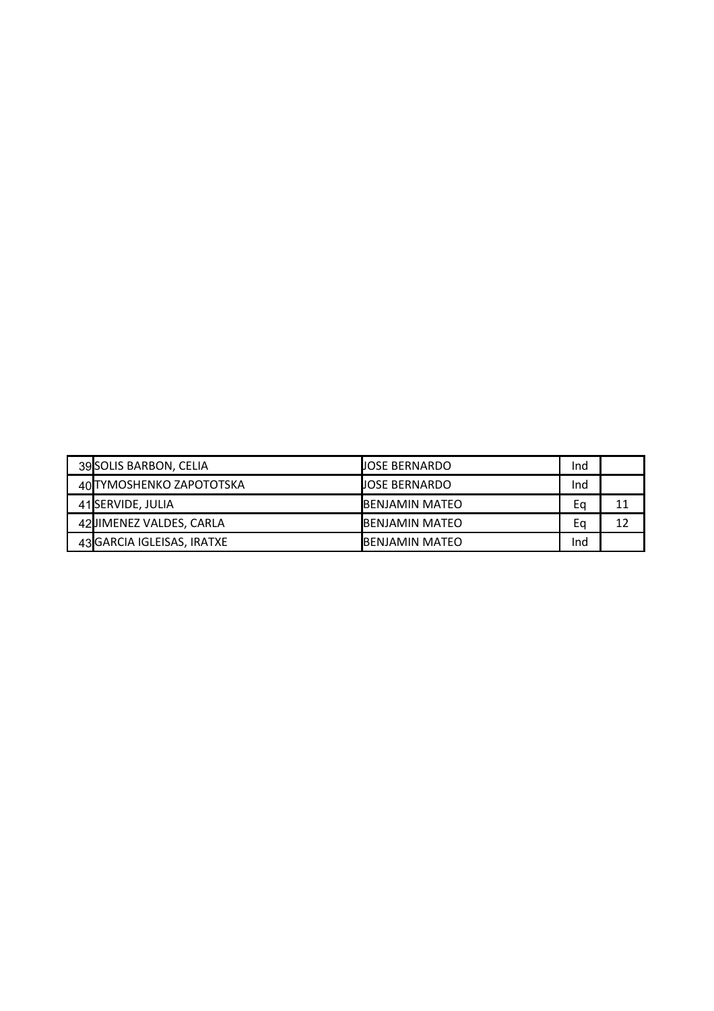| 39 SOLIS BARBON, CELIA     | <b>UOSE BERNARDO</b>   | Ind |    |
|----------------------------|------------------------|-----|----|
| 40 TYMOSHENKO ZAPOTOTSKA   | <b>UOSE BERNARDO</b>   | Ind |    |
| 41 SERVIDE, JULIA          | <b>IBENJAMIN MATEO</b> | Ea  | 11 |
| 42JIMENEZ VALDES, CARLA    | IBENJAMIN MATEO        | Eq  | 12 |
| 43 GARCIA IGLEISAS, IRATXE | BENJAMIN MATEO         | Ind |    |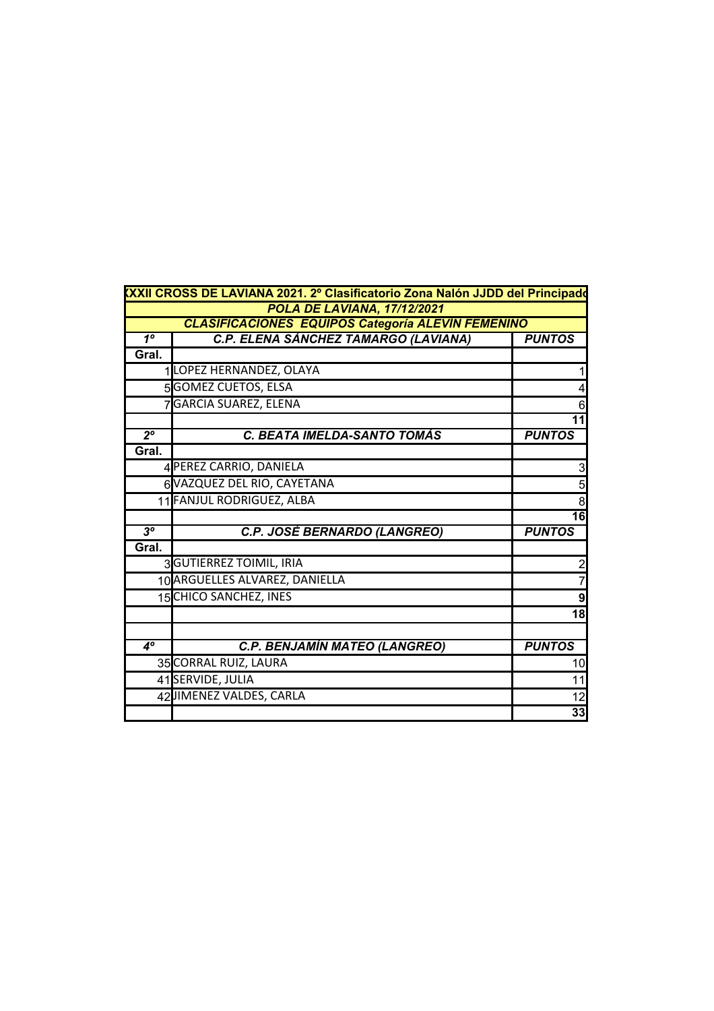|                | XXII CROSS DE LAVIANA 2021. 2º Clasificatorio Zona Nalón JJDD del Principado |                  |  |  |  |  |
|----------------|------------------------------------------------------------------------------|------------------|--|--|--|--|
|                | POLA DE LAVIANA, 17/12/2021                                                  |                  |  |  |  |  |
|                | <b>CLASIFICACIONES EQUIPOS Categoría ALEVÍN FEMENINO</b>                     |                  |  |  |  |  |
| 1 <sup>°</sup> | C.P. ELENA SÁNCHEZ TAMARGO (LAVIANA)                                         | <b>PUNTOS</b>    |  |  |  |  |
| Gral.          |                                                                              |                  |  |  |  |  |
|                | 1LOPEZ HERNANDEZ, OLAYA                                                      |                  |  |  |  |  |
|                | 5GOMEZ CUETOS, ELSA                                                          |                  |  |  |  |  |
|                | 7GARCIA SUAREZ, ELENA                                                        | 6                |  |  |  |  |
|                |                                                                              | 11               |  |  |  |  |
| $2^{\circ}$    | C. BEATA IMELDA-SANTO TOMÁS                                                  | <b>PUNTOS</b>    |  |  |  |  |
| Gral.          |                                                                              |                  |  |  |  |  |
|                | 4 PEREZ CARRIO, DANIELA                                                      | 3                |  |  |  |  |
|                | 6 VAZQUEZ DEL RIO, CAYETANA                                                  | 5                |  |  |  |  |
|                | 11 FANJUL RODRIGUEZ, ALBA                                                    | 8                |  |  |  |  |
|                |                                                                              | $\overline{16}$  |  |  |  |  |
| 3 <sup>o</sup> | <b>C.P. JOSÉ BERNARDO (LANGREO)</b>                                          | <b>PUNTOS</b>    |  |  |  |  |
| Gral.          |                                                                              |                  |  |  |  |  |
|                | 3GUTIERREZ TOIMIL, IRIA                                                      | $\overline{2}$   |  |  |  |  |
|                | 10 ARGUELLES ALVAREZ, DANIELLA                                               |                  |  |  |  |  |
|                | 15 CHICO SANCHEZ, INES                                                       | $\boldsymbol{9}$ |  |  |  |  |
|                |                                                                              | 18               |  |  |  |  |
|                |                                                                              |                  |  |  |  |  |
| $4^\circ$      | C.P. BENJAMÍN MATEO (LANGREO)                                                | <b>PUNTOS</b>    |  |  |  |  |
|                | 35 CORRAL RUIZ, LAURA                                                        | 10               |  |  |  |  |
|                | 41 SERVIDE, JULIA                                                            | 11               |  |  |  |  |
|                | 42JIMENEZ VALDES, CARLA                                                      | 12               |  |  |  |  |
|                |                                                                              | 33               |  |  |  |  |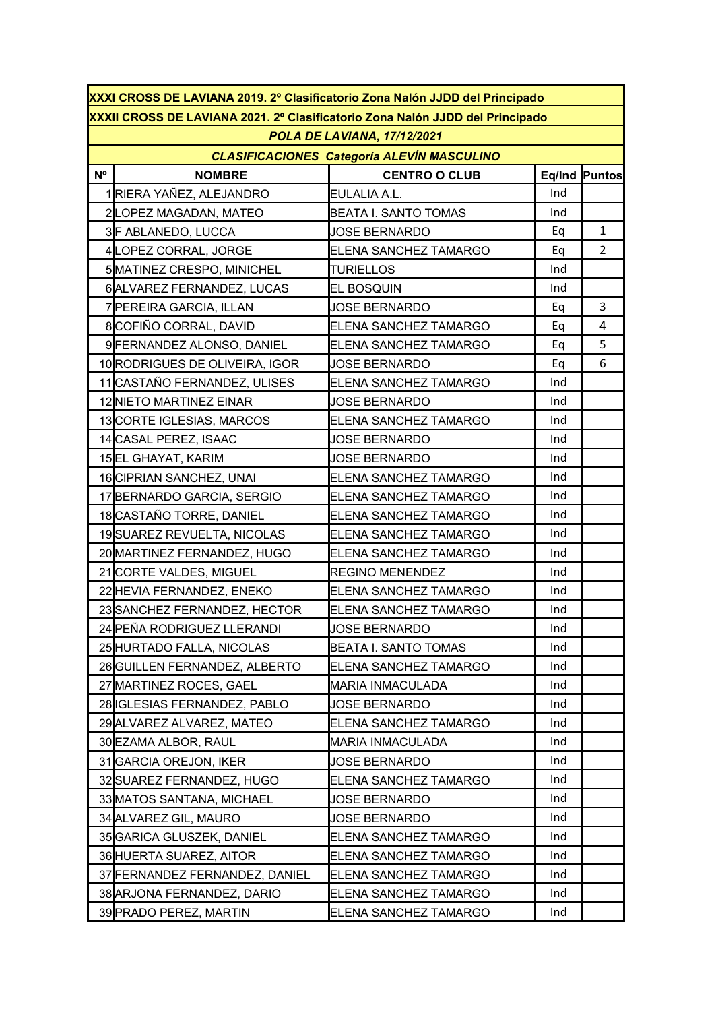|             | XXXI CROSS DE LAVIANA 2019. 2º Clasificatorio Zona Nalón JJDD del Principado  |                              |     |                |  |  |  |
|-------------|-------------------------------------------------------------------------------|------------------------------|-----|----------------|--|--|--|
|             | XXXII CROSS DE LAVIANA 2021. 2º Clasificatorio Zona Nalón JJDD del Principado |                              |     |                |  |  |  |
|             |                                                                               | POLA DE LAVIANA, 17/12/2021  |     |                |  |  |  |
|             | <b>CLASIFICACIONES Categoría ALEVÍN MASCULINO</b>                             |                              |     |                |  |  |  |
| $N^{\circ}$ | <b>NOMBRE</b>                                                                 | <b>CENTRO O CLUB</b>         |     | Eq/Ind Puntos  |  |  |  |
|             | 1RIERA YAÑEZ, ALEJANDRO                                                       | <b>EULALIA A.L.</b>          | Ind |                |  |  |  |
|             | 2LOPEZ MAGADAN, MATEO                                                         | <b>BEATA I. SANTO TOMAS</b>  | Ind |                |  |  |  |
|             | 3F ABLANEDO, LUCCA                                                            | <b>JOSE BERNARDO</b>         | Eq  | $\mathbf{1}$   |  |  |  |
|             | 4LOPEZ CORRAL, JORGE                                                          | <b>ELENA SANCHEZ TAMARGO</b> | Eq  | $\overline{2}$ |  |  |  |
|             | 5 MATINEZ CRESPO, MINICHEL                                                    | <b>TURIELLOS</b>             | Ind |                |  |  |  |
|             | 6ALVAREZ FERNANDEZ, LUCAS                                                     | <b>EL BOSQUIN</b>            | Ind |                |  |  |  |
|             | 7 PEREIRA GARCIA, ILLAN                                                       | <b>JOSE BERNARDO</b>         | Eq  | 3              |  |  |  |
|             | 8COFIÑO CORRAL, DAVID                                                         | ELENA SANCHEZ TAMARGO        | Eq  | $\overline{a}$ |  |  |  |
|             | 9 FERNANDEZ ALONSO, DANIEL                                                    | ELENA SANCHEZ TAMARGO        | Eq  | 5              |  |  |  |
|             | 10 RODRIGUES DE OLIVEIRA, IGOR                                                | <b>JOSE BERNARDO</b>         | Eq  | 6              |  |  |  |
|             | 11 CASTAÑO FERNANDEZ, ULISES                                                  | ELENA SANCHEZ TAMARGO        | Ind |                |  |  |  |
|             | 12 NIETO MARTINEZ EINAR                                                       | <b>JOSE BERNARDO</b>         | Ind |                |  |  |  |
|             | 13 CORTE IGLESIAS, MARCOS                                                     | ELENA SANCHEZ TAMARGO        | Ind |                |  |  |  |
|             | 14 CASAL PEREZ, ISAAC                                                         | <b>JOSE BERNARDO</b>         | Ind |                |  |  |  |
|             | 15EL GHAYAT, KARIM                                                            | <b>JOSE BERNARDO</b>         | Ind |                |  |  |  |
|             | 16 CIPRIAN SANCHEZ, UNAI                                                      | ELENA SANCHEZ TAMARGO        | Ind |                |  |  |  |
|             | 17 BERNARDO GARCIA, SERGIO                                                    | ELENA SANCHEZ TAMARGO        | Ind |                |  |  |  |
|             | 18 CASTAÑO TORRE, DANIEL                                                      | ELENA SANCHEZ TAMARGO        | Ind |                |  |  |  |
|             | 19SUAREZ REVUELTA, NICOLAS                                                    | ELENA SANCHEZ TAMARGO        | Ind |                |  |  |  |
|             | 20 MARTINEZ FERNANDEZ, HUGO                                                   | ELENA SANCHEZ TAMARGO        | Ind |                |  |  |  |
|             | 21 CORTE VALDES, MIGUEL                                                       | <b>REGINO MENENDEZ</b>       | Ind |                |  |  |  |
|             | 22 HEVIA FERNANDEZ, ENEKO                                                     | ELENA SANCHEZ TAMARGO        | Ind |                |  |  |  |
|             | 23 SANCHEZ FERNANDEZ, HECTOR                                                  | ELENA SANCHEZ TAMARGO        | Ind |                |  |  |  |
|             | 24 PEÑA RODRIGUEZ LLERANDI                                                    | JOSE BERNARDO                | Ind |                |  |  |  |
|             | 25 HURTADO FALLA, NICOLAS                                                     | <b>BEATA I. SANTO TOMAS</b>  | Ind |                |  |  |  |
|             | 26 GUILLEN FERNANDEZ, ALBERTO                                                 | ELENA SANCHEZ TAMARGO        | Ind |                |  |  |  |
|             | 27 MARTINEZ ROCES, GAEL                                                       | MARIA INMACULADA             | Ind |                |  |  |  |
|             | 28 IGLESIAS FERNANDEZ, PABLO                                                  | <b>JOSE BERNARDO</b>         | Ind |                |  |  |  |
|             | 29 ALVAREZ ALVAREZ, MATEO                                                     | ELENA SANCHEZ TAMARGO        | Ind |                |  |  |  |
|             | 30 EZAMA ALBOR, RAUL                                                          | MARIA INMACULADA             | Ind |                |  |  |  |
|             | 31 GARCIA OREJON, IKER                                                        | <b>JOSE BERNARDO</b>         | Ind |                |  |  |  |
|             | 32 SUAREZ FERNANDEZ, HUGO                                                     | ELENA SANCHEZ TAMARGO        | Ind |                |  |  |  |
|             | 33 MATOS SANTANA, MICHAEL                                                     | JOSE BERNARDO                | Ind |                |  |  |  |
|             | 34 ALVAREZ GIL, MAURO                                                         | <b>JOSE BERNARDO</b>         | Ind |                |  |  |  |
|             | 35 GARICA GLUSZEK, DANIEL                                                     | ELENA SANCHEZ TAMARGO        | Ind |                |  |  |  |
|             | 36 HUERTA SUAREZ, AITOR                                                       | ELENA SANCHEZ TAMARGO        | Ind |                |  |  |  |
|             | 37 FERNANDEZ FERNANDEZ, DANIEL                                                | ELENA SANCHEZ TAMARGO        | Ind |                |  |  |  |
|             | 38 ARJONA FERNANDEZ, DARIO                                                    | ELENA SANCHEZ TAMARGO        | Ind |                |  |  |  |
|             | 39 PRADO PEREZ, MARTIN                                                        | ELENA SANCHEZ TAMARGO        | Ind |                |  |  |  |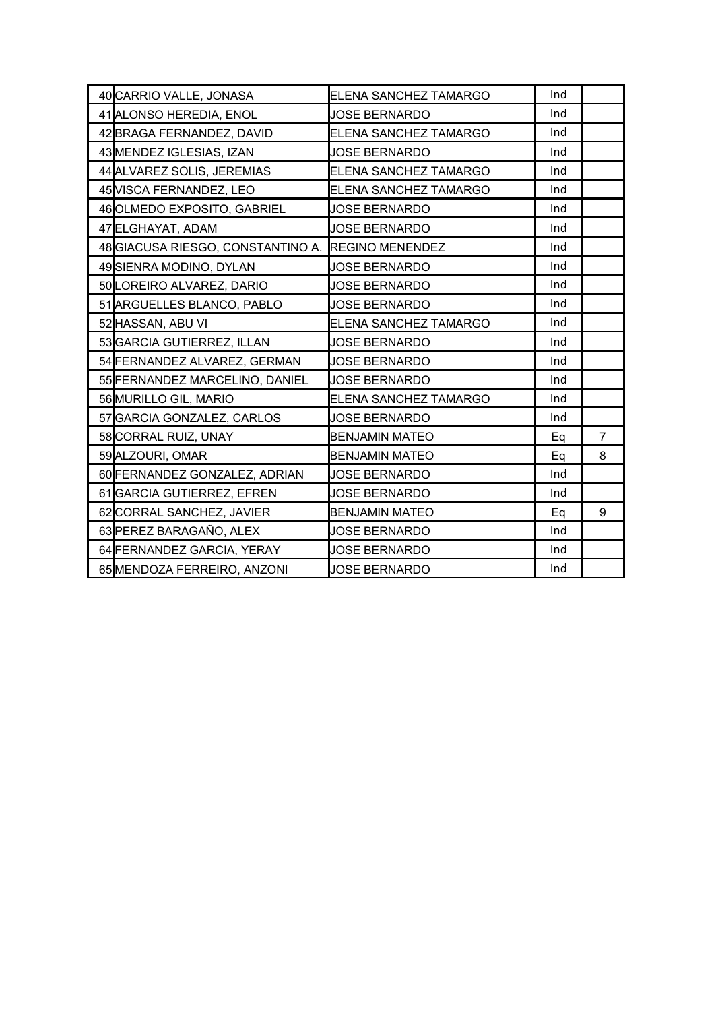| 40 CARRIO VALLE, JONASA           | ELENA SANCHEZ TAMARGO  | Ind |                |
|-----------------------------------|------------------------|-----|----------------|
| 41 ALONSO HEREDIA, ENOL           | <b>JOSE BERNARDO</b>   | Ind |                |
| 42 BRAGA FERNANDEZ, DAVID         | ELENA SANCHEZ TAMARGO  | Ind |                |
| 43 MENDEZ IGLESIAS, IZAN          | <b>JOSE BERNARDO</b>   | Ind |                |
| 44 ALVAREZ SOLIS, JEREMIAS        | ELENA SANCHEZ TAMARGO  | Ind |                |
| 45 VISCA FERNANDEZ, LEO           | ELENA SANCHEZ TAMARGO  | Ind |                |
| 46 OLMEDO EXPOSITO, GABRIEL       | <b>JOSE BERNARDO</b>   | Ind |                |
| 47 ELGHAYAT, ADAM                 | <b>JOSE BERNARDO</b>   | Ind |                |
| 48 GIACUSA RIESGO, CONSTANTINO A. | <b>REGINO MENENDEZ</b> | Ind |                |
| 49SIENRA MODINO, DYLAN            | <b>JOSE BERNARDO</b>   | Ind |                |
| 50 LOREIRO ALVAREZ, DARIO         | <b>JOSE BERNARDO</b>   | Ind |                |
| 51 ARGUELLES BLANCO, PABLO        | <b>JOSE BERNARDO</b>   | Ind |                |
| 52 HASSAN, ABU VI                 | ELENA SANCHEZ TAMARGO  | Ind |                |
| 53 GARCIA GUTIERREZ, ILLAN        | <b>JOSE BERNARDO</b>   | Ind |                |
| 54 FERNANDEZ ALVAREZ, GERMAN      | <b>JOSE BERNARDO</b>   | Ind |                |
| 55 FERNANDEZ MARCELINO, DANIEL    | <b>JOSE BERNARDO</b>   | Ind |                |
| 56 MURILLO GIL, MARIO             | ELENA SANCHEZ TAMARGO  | Ind |                |
| 57 GARCIA GONZALEZ, CARLOS        | <b>JOSE BERNARDO</b>   | Ind |                |
| 58 CORRAL RUIZ, UNAY              | <b>BENJAMIN MATEO</b>  | Eq  | $\overline{7}$ |
| 59 ALZOURI, OMAR                  | <b>BENJAMIN MATEO</b>  | Eq  | 8              |
| 60 FERNANDEZ GONZALEZ, ADRIAN     | <b>JOSE BERNARDO</b>   | Ind |                |
| 61 GARCIA GUTIERREZ, EFREN        | <b>JOSE BERNARDO</b>   | Ind |                |
| 62 CORRAL SANCHEZ, JAVIER         | <b>BENJAMIN MATEO</b>  | Eq  | 9              |
| 63 PEREZ BARAGAÑO, ALEX           | <b>JOSE BERNARDO</b>   | Ind |                |
| 64 FERNANDEZ GARCIA, YERAY        | <b>JOSE BERNARDO</b>   | Ind |                |
| 65 MENDOZA FERREIRO, ANZONI       | <b>JOSE BERNARDO</b>   | Ind |                |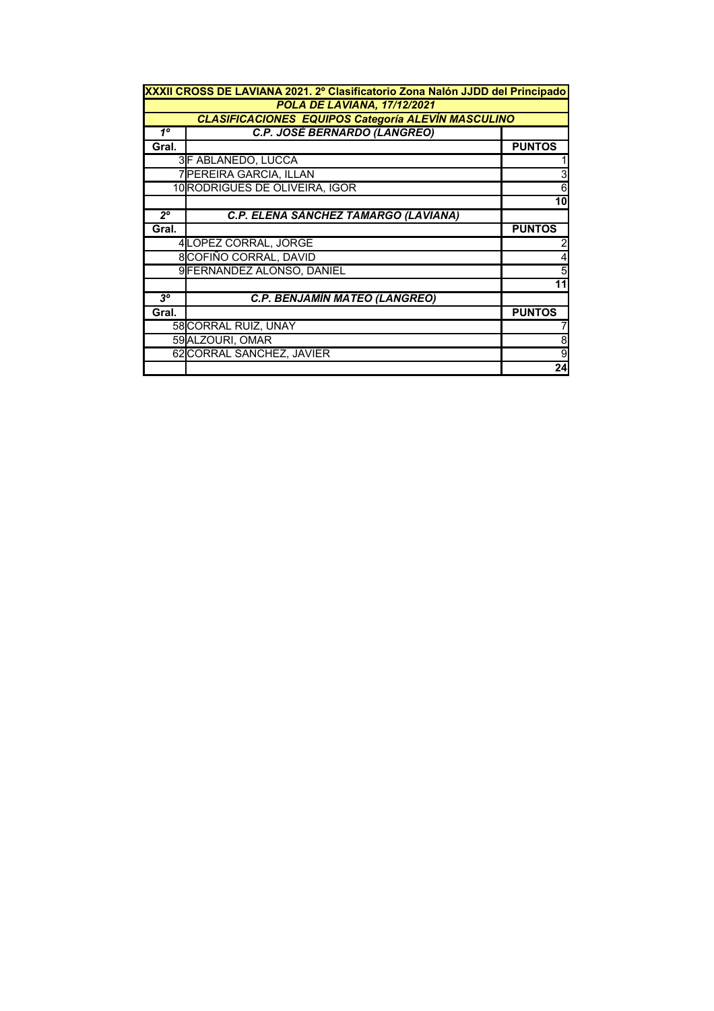| XXXII CROSS DE LAVIANA 2021. 2º Clasificatorio Zona Nalón JJDD del Principado |                                                           |               |  |  |  |
|-------------------------------------------------------------------------------|-----------------------------------------------------------|---------------|--|--|--|
|                                                                               | POLA DE LAVIANA, 17/12/2021                               |               |  |  |  |
|                                                                               | <b>CLASIFICACIONES EQUIPOS Categoría ALEVIN MASCULINO</b> |               |  |  |  |
| $1^{\circ}$                                                                   | C.P. JOSÉ BERNARDO (LANGREO)                              |               |  |  |  |
| Gral.                                                                         |                                                           | <b>PUNTOS</b> |  |  |  |
|                                                                               | 3F ABLANEDO, LUCCA                                        |               |  |  |  |
|                                                                               | 7 PEREIRA GARCIA, ILLAN                                   |               |  |  |  |
|                                                                               | 10 RODRIGUES DE OLIVEIRA, IGOR                            | 6             |  |  |  |
|                                                                               |                                                           | 10            |  |  |  |
| $2^{\circ}$                                                                   | C.P. ELENA SÁNCHEZ TAMARGO (LAVIANA)                      |               |  |  |  |
| Gral.                                                                         |                                                           | <b>PUNTOS</b> |  |  |  |
|                                                                               | 4LOPEZ CORRAL, JORGE                                      |               |  |  |  |
|                                                                               | 8COFIÑO CORRAL, DAVID                                     |               |  |  |  |
|                                                                               | 9 FERNANDEZ ALONSO, DANIEL                                |               |  |  |  |
|                                                                               |                                                           |               |  |  |  |
| $3^o$                                                                         | <b>C.P. BENJAMÍN MATEO (LANGREO)</b>                      |               |  |  |  |
| Gral.                                                                         |                                                           | <b>PUNTOS</b> |  |  |  |
|                                                                               | 58 CORRAL RUIZ, UNAY                                      |               |  |  |  |
|                                                                               | 59 ALZOURI, OMAR                                          | 8             |  |  |  |
|                                                                               | 62 CORRAL SANCHEZ, JAVIER                                 |               |  |  |  |
|                                                                               |                                                           | 24            |  |  |  |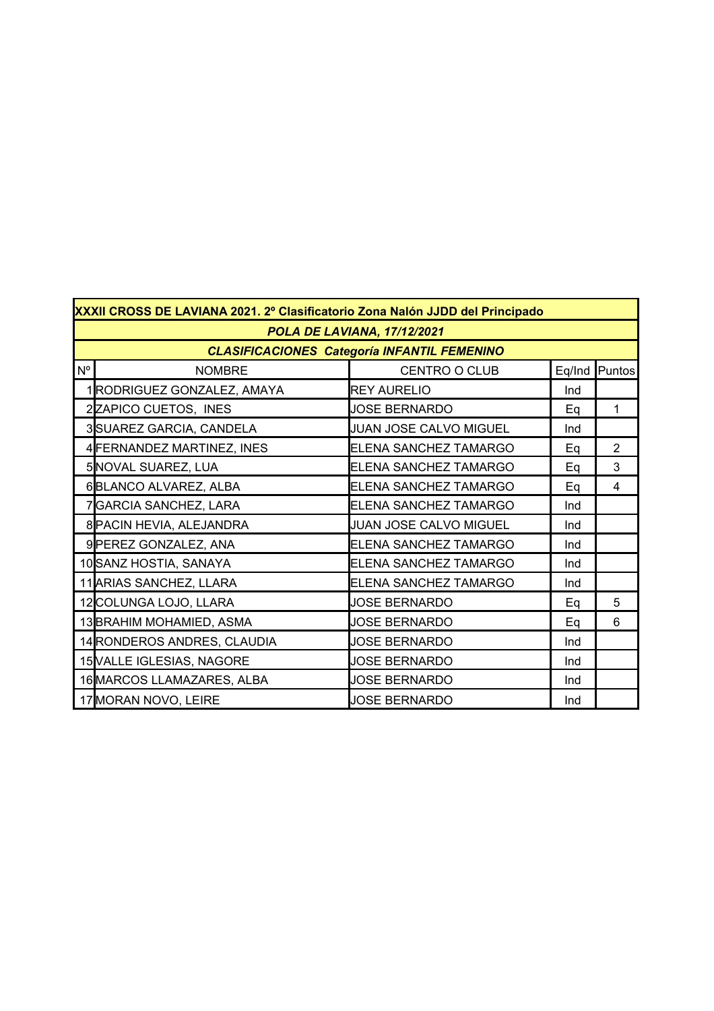|             | XXXII CROSS DE LAVIANA 2021. 2º Clasificatorio Zona Nalón JJDD del Principado |                               |     |                 |  |  |
|-------------|-------------------------------------------------------------------------------|-------------------------------|-----|-----------------|--|--|
|             | POLA DE LAVIANA, 17/12/2021                                                   |                               |     |                 |  |  |
|             | <b>CLASIFICACIONES Categoría INFANTIL FEMENINO</b>                            |                               |     |                 |  |  |
| $N^{\circ}$ | <b>NOMBRE</b>                                                                 | CENTRO O CLUB                 |     | Eq/Ind   Puntos |  |  |
|             | 1RODRIGUEZ GONZALEZ, AMAYA                                                    | <b>REY AURELIO</b>            | Ind |                 |  |  |
|             | 2ZAPICO CUETOS, INES                                                          | <b>JOSE BERNARDO</b>          | Eq  | $\mathbf{1}$    |  |  |
|             | 3 SUAREZ GARCIA, CANDELA                                                      | <b>JUAN JOSE CALVO MIGUEL</b> | Ind |                 |  |  |
|             | 4 FERNANDEZ MARTINEZ, INES                                                    | ELENA SANCHEZ TAMARGO         | Eq  | $\overline{2}$  |  |  |
|             | 5 NOVAL SUAREZ, LUA                                                           | ELENA SANCHEZ TAMARGO         | Eq  | 3               |  |  |
|             | 6BLANCO ALVAREZ, ALBA                                                         | ELENA SANCHEZ TAMARGO         | Eq  | 4               |  |  |
|             | 7GARCIA SANCHEZ, LARA                                                         | ELENA SANCHEZ TAMARGO         | Ind |                 |  |  |
|             | 8 PACIN HEVIA, ALEJANDRA                                                      | JUAN JOSE CALVO MIGUEL        | Ind |                 |  |  |
|             | 9 PEREZ GONZALEZ, ANA                                                         | ELENA SANCHEZ TAMARGO         | Ind |                 |  |  |
|             | 10 SANZ HOSTIA, SANAYA                                                        | ELENA SANCHEZ TAMARGO         | Ind |                 |  |  |
|             | 11 ARIAS SANCHEZ, LLARA                                                       | ELENA SANCHEZ TAMARGO         | Ind |                 |  |  |
|             | 12 COLUNGA LOJO, LLARA                                                        | <b>JOSE BERNARDO</b>          | Eq  | 5               |  |  |
|             | 13 BRAHIM MOHAMIED, ASMA                                                      | <b>JOSE BERNARDO</b>          | Eq  | 6               |  |  |
|             | 14 RONDEROS ANDRES, CLAUDIA                                                   | <b>JOSE BERNARDO</b>          | Ind |                 |  |  |
|             | 15 VALLE IGLESIAS, NAGORE                                                     | <b>JOSE BERNARDO</b>          | Ind |                 |  |  |
|             | 16 MARCOS LLAMAZARES, ALBA                                                    | <b>JOSE BERNARDO</b>          | Ind |                 |  |  |
|             | 17 MORAN NOVO, LEIRE                                                          | <b>JOSE BERNARDO</b>          | Ind |                 |  |  |

r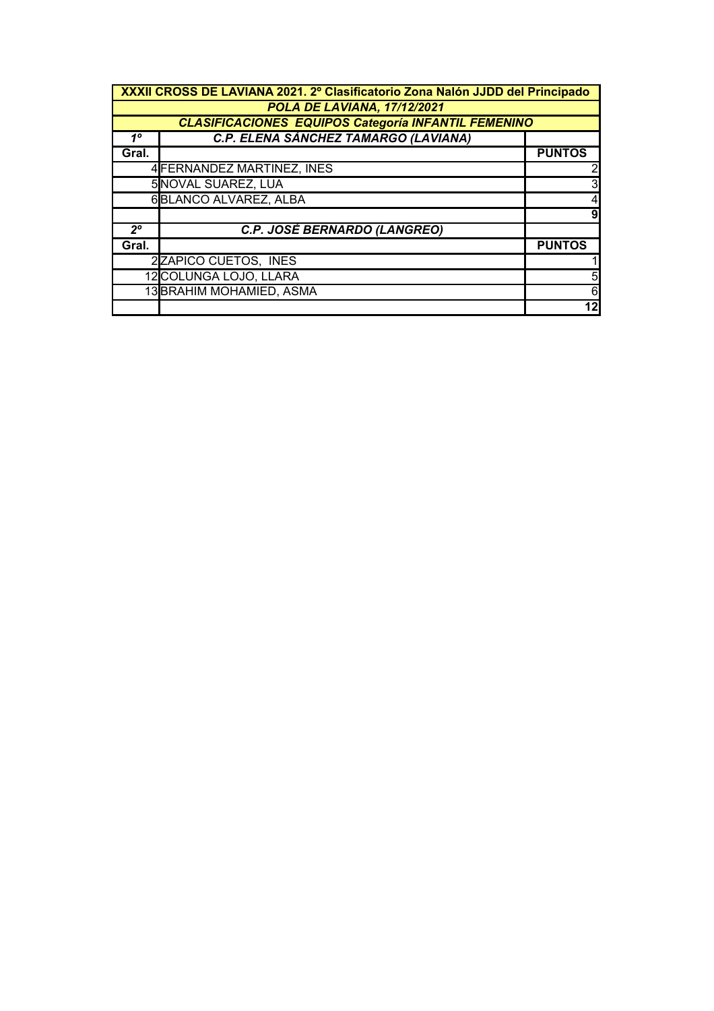| XXXII CROSS DE LAVIANA 2021. 2º Clasificatorio Zona Nalón JJDD del Principado |                                                            |               |  |  |  |
|-------------------------------------------------------------------------------|------------------------------------------------------------|---------------|--|--|--|
|                                                                               | POLA DE LAVIANA, 17/12/2021                                |               |  |  |  |
|                                                                               | <b>CLASIFICACIONES EQUIPOS Categoría INFANTIL FEMENINO</b> |               |  |  |  |
| $1^{\circ}$                                                                   | C.P. ELENA SÁNCHEZ TAMARGO (LAVIANA)                       |               |  |  |  |
| Gral.                                                                         |                                                            | <b>PUNTOS</b> |  |  |  |
|                                                                               | 4 FERNANDEZ MARTINEZ, INES                                 |               |  |  |  |
|                                                                               | 5 NOVAL SUAREZ, LUA                                        |               |  |  |  |
|                                                                               | 6BLANCO ALVAREZ, ALBA                                      |               |  |  |  |
|                                                                               |                                                            |               |  |  |  |
| $2^{\circ}$                                                                   | C.P. JOSÉ BERNARDO (LANGREO)                               |               |  |  |  |
| Gral.                                                                         |                                                            | <b>PUNTOS</b> |  |  |  |
|                                                                               | 2ZAPICO CUETOS, INES                                       |               |  |  |  |
|                                                                               | 12 COLUNGA LOJO, LLARA                                     |               |  |  |  |
|                                                                               | 13 BRAHIM MOHAMIED, ASMA                                   |               |  |  |  |
|                                                                               |                                                            | 12            |  |  |  |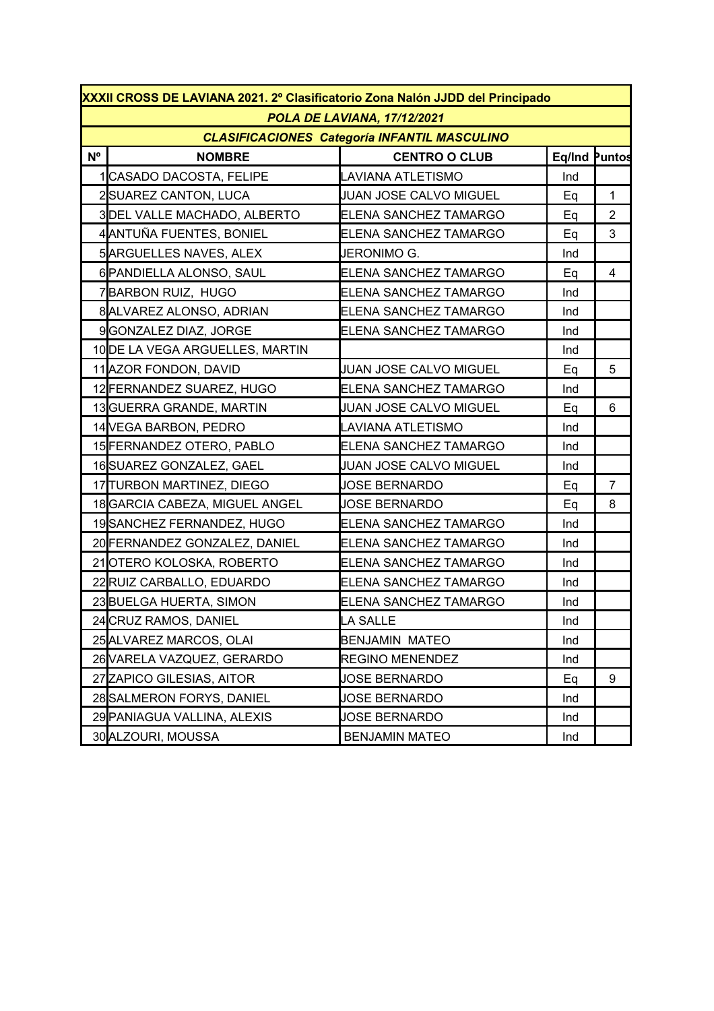|                | XXXII CROSS DE LAVIANA 2021. 2º Clasificatorio Zona Nalón JJDD del Principado |                                                     |               |                |  |  |
|----------------|-------------------------------------------------------------------------------|-----------------------------------------------------|---------------|----------------|--|--|
|                | POLA DE LAVIANA, 17/12/2021                                                   |                                                     |               |                |  |  |
|                |                                                                               | <b>CLASIFICACIONES Categoría INFANTIL MASCULINO</b> |               |                |  |  |
| N <sup>o</sup> | <b>NOMBRE</b>                                                                 | <b>CENTRO O CLUB</b>                                | Eq/Ind Puntos |                |  |  |
|                | CASADO DACOSTA, FELIPE                                                        | LAVIANA ATLETISMO                                   | Ind           |                |  |  |
|                | 2SUAREZ CANTON, LUCA                                                          | <b>JUAN JOSE CALVO MIGUEL</b>                       | Eq            | $\mathbf{1}$   |  |  |
|                | 3DEL VALLE MACHADO, ALBERTO                                                   | ELENA SANCHEZ TAMARGO                               | Eq            | $\overline{2}$ |  |  |
|                | 4 ANTUÑA FUENTES, BONIEL                                                      | ELENA SANCHEZ TAMARGO                               | Eq            | 3              |  |  |
|                | 5ARGUELLES NAVES, ALEX                                                        | JERONIMO G.                                         | Ind           |                |  |  |
|                | 6 PANDIELLA ALONSO, SAUL                                                      | ELENA SANCHEZ TAMARGO                               | Eq            | $\overline{4}$ |  |  |
|                | 7BARBON RUIZ, HUGO                                                            | ELENA SANCHEZ TAMARGO                               | Ind           |                |  |  |
|                | 8 ALVAREZ ALONSO, ADRIAN                                                      | ELENA SANCHEZ TAMARGO                               | Ind           |                |  |  |
|                | 9GONZALEZ DIAZ, JORGE                                                         | ELENA SANCHEZ TAMARGO                               | Ind           |                |  |  |
|                | 10 DE LA VEGA ARGUELLES, MARTIN                                               |                                                     | Ind           |                |  |  |
|                | 11 AZOR FONDON, DAVID                                                         | JUAN JOSE CALVO MIGUEL                              | Eq            | 5              |  |  |
|                | 12 FERNANDEZ SUAREZ, HUGO                                                     | ELENA SANCHEZ TAMARGO                               | Ind           |                |  |  |
|                | 13 GUERRA GRANDE, MARTIN                                                      | JUAN JOSE CALVO MIGUEL                              | Eq            | 6              |  |  |
|                | 14 VEGA BARBON, PEDRO                                                         | LAVIANA ATLETISMO                                   | Ind           |                |  |  |
|                | 15 FERNANDEZ OTERO, PABLO                                                     | ELENA SANCHEZ TAMARGO                               | Ind           |                |  |  |
|                | 16SUAREZ GONZALEZ, GAEL                                                       | JUAN JOSE CALVO MIGUEL                              | Ind           |                |  |  |
|                | 17 TURBON MARTINEZ, DIEGO                                                     | <b>JOSE BERNARDO</b>                                | Eq            | $\overline{7}$ |  |  |
|                | 18 GARCIA CABEZA, MIGUEL ANGEL                                                | <b>JOSE BERNARDO</b>                                | Eq            | 8              |  |  |
|                | 19SANCHEZ FERNANDEZ, HUGO                                                     | ELENA SANCHEZ TAMARGO                               | Ind           |                |  |  |
|                | 20 FERNANDEZ GONZALEZ, DANIEL                                                 | ELENA SANCHEZ TAMARGO                               | Ind           |                |  |  |
|                | 21OTERO KOLOSKA, ROBERTO                                                      | ELENA SANCHEZ TAMARGO                               | Ind           |                |  |  |
|                | 22 RUIZ CARBALLO, EDUARDO                                                     | ELENA SANCHEZ TAMARGO                               | Ind           |                |  |  |
|                | 23 BUELGA HUERTA, SIMON                                                       | <b>ELENA SANCHEZ TAMARGO</b>                        | Ind           |                |  |  |
|                | 24 CRUZ RAMOS, DANIEL                                                         | <b>LA SALLE</b>                                     | Ind           |                |  |  |
|                | 25 ALVAREZ MARCOS, OLAI                                                       | <b>BENJAMIN MATEO</b>                               | Ind           |                |  |  |
|                | 26 VARELA VAZQUEZ, GERARDO                                                    | <b>REGINO MENENDEZ</b>                              | Ind           |                |  |  |
|                | 27 ZAPICO GILESIAS, AITOR                                                     | <b>JOSE BERNARDO</b>                                | Eq            | 9              |  |  |
|                | 28 SALMERON FORYS, DANIEL                                                     | <b>JOSE BERNARDO</b>                                | Ind           |                |  |  |
|                | 29 PANIAGUA VALLINA, ALEXIS                                                   | <b>JOSE BERNARDO</b>                                | Ind           |                |  |  |
|                | 30 ALZOURI, MOUSSA                                                            | <b>BENJAMIN MATEO</b>                               | Ind           |                |  |  |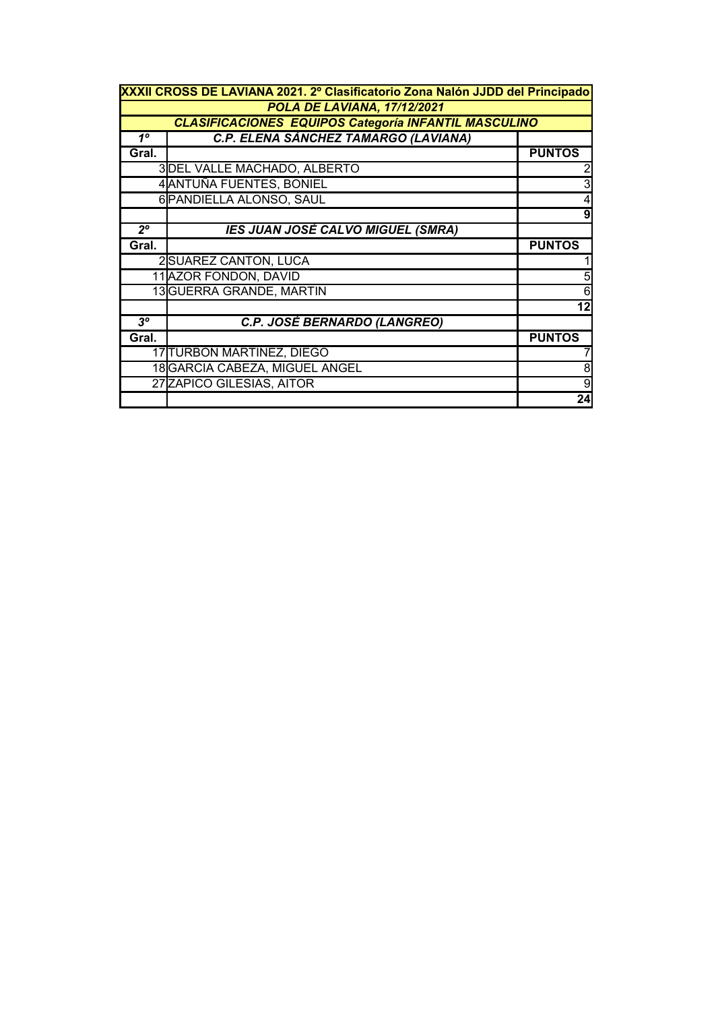| XXXII CROSS DE LAVIANA 2021. 2º Clasificatorio Zona Nalón JJDD del Principado |                                                             |               |  |  |  |
|-------------------------------------------------------------------------------|-------------------------------------------------------------|---------------|--|--|--|
|                                                                               | POLA DE LAVIANA, 17/12/2021                                 |               |  |  |  |
|                                                                               | <b>CLASIFICACIONES EQUIPOS Categoría INFANTIL MASCULINO</b> |               |  |  |  |
| $1^{\circ}$                                                                   | C.P. ELENA SÁNCHEZ TAMARGO (LAVIANA)                        |               |  |  |  |
| Gral.                                                                         |                                                             | <b>PUNTOS</b> |  |  |  |
|                                                                               | 3DEL VALLE MACHADO, ALBERTO                                 |               |  |  |  |
|                                                                               | 4 ANTUÑA FUENTES, BONIEL                                    |               |  |  |  |
|                                                                               | 6 PANDIELLA ALONSO, SAUL                                    |               |  |  |  |
|                                                                               |                                                             | 9             |  |  |  |
| $2^{\circ}$                                                                   | <b>IES JUAN JOSÉ CALVO MIGUEL (SMRA)</b>                    |               |  |  |  |
| Gral.                                                                         |                                                             | <b>PUNTOS</b> |  |  |  |
|                                                                               | 2SUAREZ CANTON, LUCA                                        |               |  |  |  |
|                                                                               | 11 AZOR FONDON, DAVID                                       |               |  |  |  |
|                                                                               | 13 GUERRA GRANDE, MARTIN                                    | 6             |  |  |  |
|                                                                               |                                                             | 12            |  |  |  |
| $3^o$                                                                         | C.P. JOSÉ BERNARDO (LANGREO)                                |               |  |  |  |
| Gral.                                                                         |                                                             | <b>PUNTOS</b> |  |  |  |
|                                                                               | 17 TURBON MARTINEZ, DIEGO                                   |               |  |  |  |
|                                                                               | 18 GARCIA CABEZA, MIGUEL ANGEL                              |               |  |  |  |
|                                                                               | 27 ZAPICO GILESIAS, AITOR                                   | 9             |  |  |  |
|                                                                               |                                                             | 24            |  |  |  |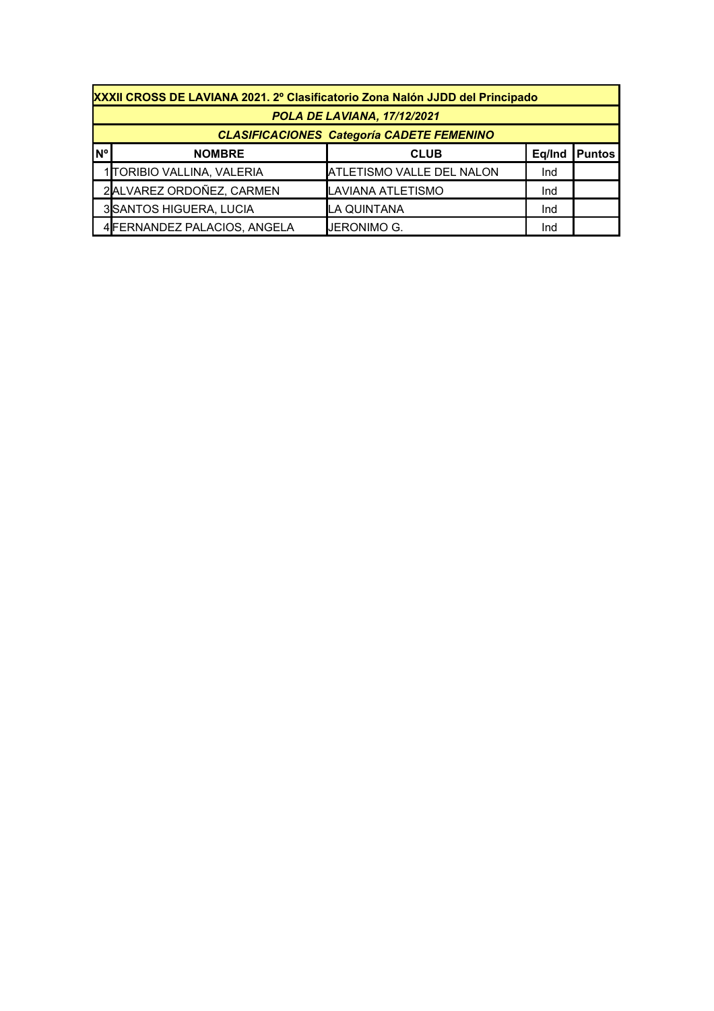|           | XXXII CROSS DE LAVIANA 2021. 2º Clasificatorio Zona Nalón JJDD del Principado |                                  |        |               |  |  |
|-----------|-------------------------------------------------------------------------------|----------------------------------|--------|---------------|--|--|
|           | POLA DE LAVIANA, 17/12/2021                                                   |                                  |        |               |  |  |
|           | <b>CLASIFICACIONES Categoría CADETE FEMENINO</b>                              |                                  |        |               |  |  |
| <b>N°</b> | <b>NOMBRE</b>                                                                 | <b>CLUB</b>                      | Eq/Ind | <b>Puntos</b> |  |  |
|           | 1 TORIBIO VALLINA, VALERIA                                                    | <b>ATLETISMO VALLE DEL NALON</b> | Ind    |               |  |  |
|           | 2ALVAREZ ORDOÑEZ, CARMEN                                                      | LAVIANA ATLETISMO                | Ind    |               |  |  |
|           | 3SANTOS HIGUERA, LUCIA                                                        | LA QUINTANA                      | Ind    |               |  |  |
|           | 4 FERNANDEZ PALACIOS, ANGELA                                                  | IJERONIMO G.                     | Ind    |               |  |  |